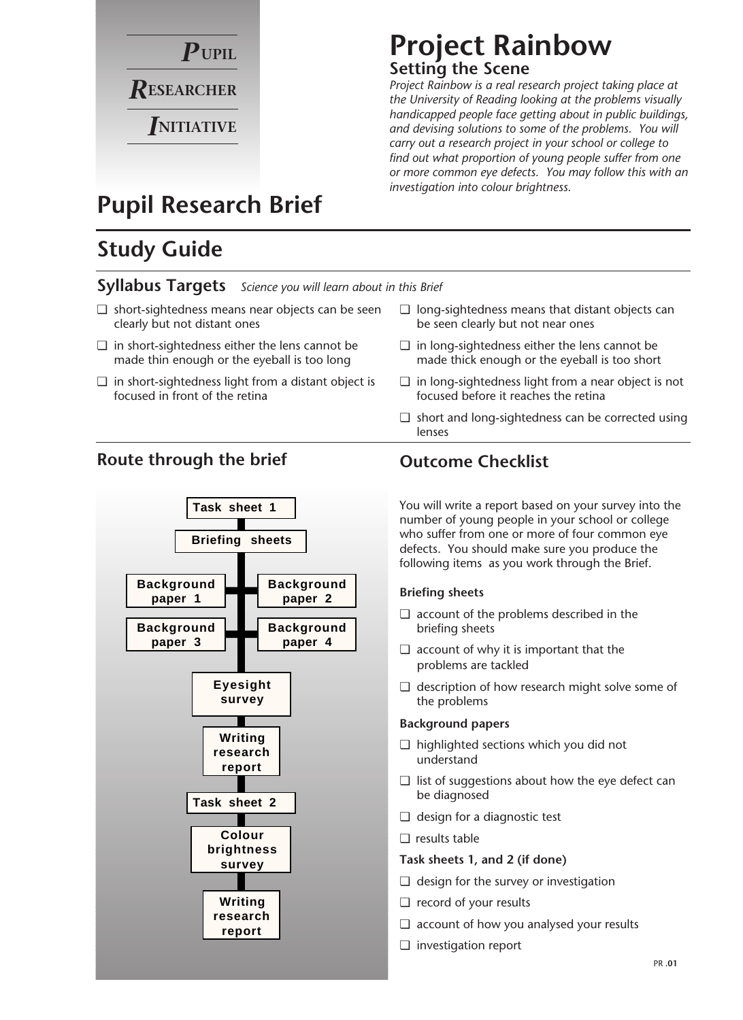

### **Project Rainbow Setting the Scene**

*Project Rainbow is a real research project taking place at the University of Reading looking at the problems visually handicapped people face getting about in public buildings, and devising solutions to some of the problems. You will carry out a research project in your school or college to find out what proportion of young people suffer from one or more common eye defects. You may follow this with an investigation into colour brightness.*

## **Pupil Research Brief**

## **Study Guide**

#### **Syllabus Targets** *Science you will learn about in this Brief*

- ❏ short-sightedness means near objects can be seen clearly but not distant ones
- ❏ in short-sightedness either the lens cannot be made thin enough or the eyeball is too long
- ❏ in short-sightedness light from a distant object is focused in front of the retina

### **Route through the brief**



#### ❏ long-sightedness means that distant objects can be seen clearly but not near ones

- ❏ in long-sightedness either the lens cannot be made thick enough or the eyeball is too short
- ❏ in long-sightedness light from a near object is not focused before it reaches the retina
- ❏ short and long-sightedness can be corrected using lenses

### **Outcome Checklist**

You will write a report based on your survey into the number of young people in your school or college who suffer from one or more of four common eye defects. You should make sure you produce the following items as you work through the Brief.

#### **Briefing sheets**

- ❏ account of the problems described in the briefing sheets
- ❏ account of why it is important that the problems are tackled
- ❏ description of how research might solve some of the problems

#### **Background papers**

- ❏ highlighted sections which you did not understand
- ❏ list of suggestions about how the eye defect can be diagnosed
- ❏ design for a diagnostic test
- ❏ results table

#### **Task sheets 1, and 2 (if done)**

- ❏ design for the survey or investigation
- ❏ record of your results
- ❏ account of how you analysed your results
- ❏ investigation report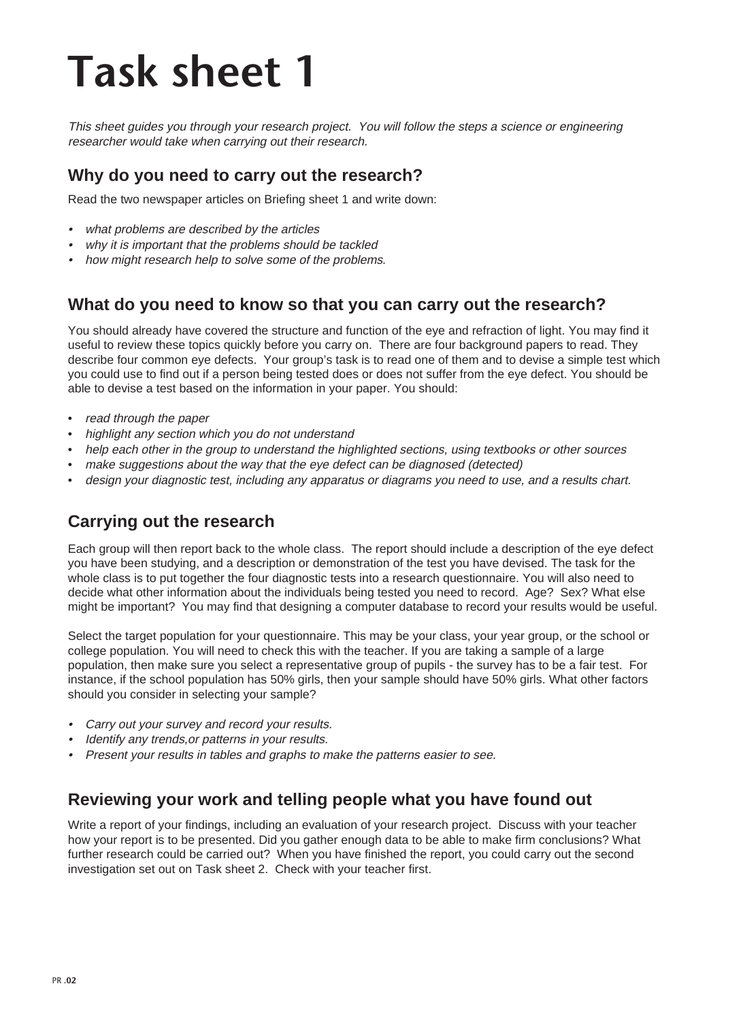# **Task sheet 1**

This sheet guides you through your research project. You will follow the steps a science or engineering researcher would take when carrying out their research.

### **Why do you need to carry out the research?**

Read the two newspaper articles on Briefing sheet 1 and write down:

- what problems are described by the articles
- •why it is important that the problems should be tackled
- •how might research help to solve some of the problems.

#### **What do you need to know so that you can carry out the research?**

You should already have covered the structure and function of the eye and refraction of light. You may find it useful to review these topics quickly before you carry on. There are four background papers to read. They describe four common eye defects. Your group's task is to read one of them and to devise a simple test which you could use to find out if a person being tested does or does not suffer from the eye defect. You should be able to devise a test based on the information in your paper. You should:

- read through the paper
- highlight any section which you do not understand
- help each other in the group to understand the highlighted sections, using textbooks or other sources
- make suggestions about the way that the eye defect can be diagnosed (detected)
- design your diagnostic test, including any apparatus or diagrams you need to use, and a results chart.

### **Carrying out the research**

Each group will then report back to the whole class. The report should include a description of the eye defect you have been studying, and a description or demonstration of the test you have devised. The task for the whole class is to put together the four diagnostic tests into a research questionnaire. You will also need to decide what other information about the individuals being tested you need to record. Age? Sex? What else might be important? You may find that designing a computer database to record your results would be useful.

Select the target population for your questionnaire. This may be your class, your year group, or the school or college population. You will need to check this with the teacher. If you are taking a sample of a large population, then make sure you select a representative group of pupils - the survey has to be a fair test. For instance, if the school population has 50% girls, then your sample should have 50% girls. What other factors should you consider in selecting your sample?

- Carry out your survey and record your results.
- •Identify any trends, or patterns in your results.
- •Present your results in tables and graphs to make the patterns easier to see.

#### **Reviewing your work and telling people what you have found out**

Write a report of your findings, including an evaluation of your research project. Discuss with your teacher how your report is to be presented. Did you gather enough data to be able to make firm conclusions? What further research could be carried out? When you have finished the report, you could carry out the second investigation set out on Task sheet 2. Check with your teacher first.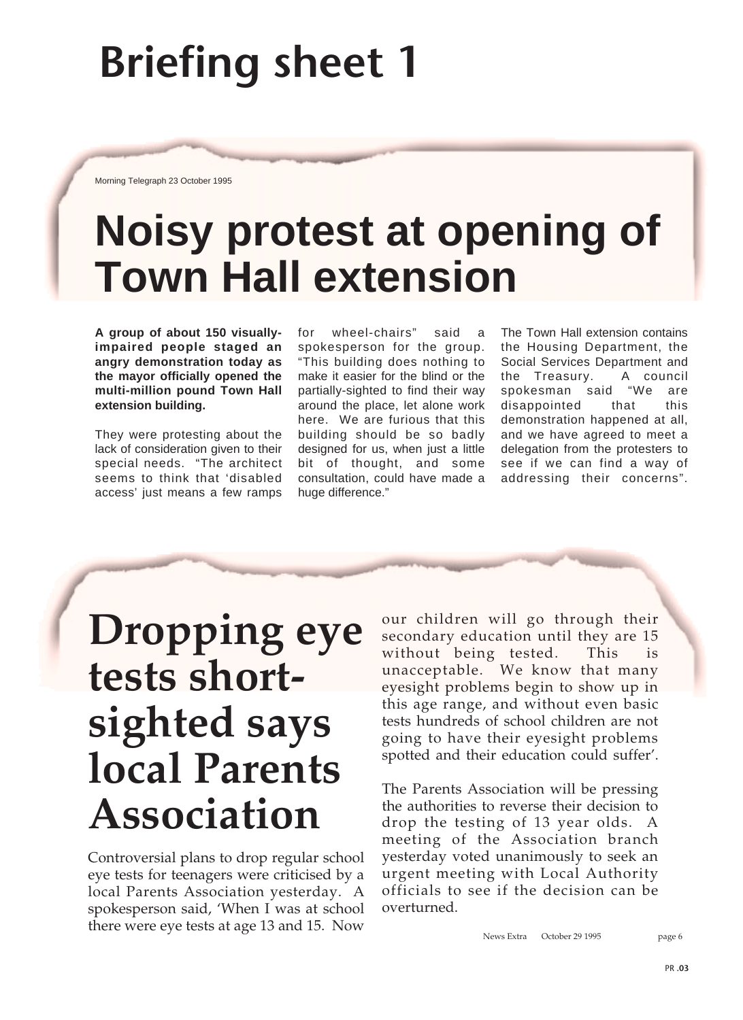# **Briefing sheet 1**

Morning Telegraph 23 October 1995

# **Noisy protest at opening of Town Hall extension**

**A group of about 150 visuallyimpaired people staged an angry demonstration today as the mayor officially opened the multi-million pound Town Hall extension building.**

They were protesting about the lack of consideration given to their special needs. "The architect seems to think that 'disabled access' just means a few ramps

for wheel-chairs" said a spokesperson for the group. "This building does nothing to make it easier for the blind or the partially-sighted to find their way around the place, let alone work here. We are furious that this building should be so badly designed for us, when just a little bit of thought, and some consultation, could have made a huge difference."

The Town Hall extension contains the Housing Department, the Social Services Department and the Treasury. A council spokesman said "We are disappointed that this demonstration happened at all, and we have agreed to meet a delegation from the protesters to see if we can find a way of addressing their concerns".

## **Dropping eye tests shortsighted says local Parents Association**

Controversial plans to drop regular school eye tests for teenagers were criticised by a local Parents Association yesterday. A spokesperson said, 'When I was at school there were eye tests at age 13 and 15. Now our children will go through their secondary education until they are 15 without being tested. This is unacceptable. We know that many eyesight problems begin to show up in this age range, and without even basic tests hundreds of school children are not going to have their eyesight problems spotted and their education could suffer'.

The Parents Association will be pressing the authorities to reverse their decision to drop the testing of 13 year olds. A meeting of the Association branch yesterday voted unanimously to seek an urgent meeting with Local Authority officials to see if the decision can be overturned.

News Extra October 29 1995 page 6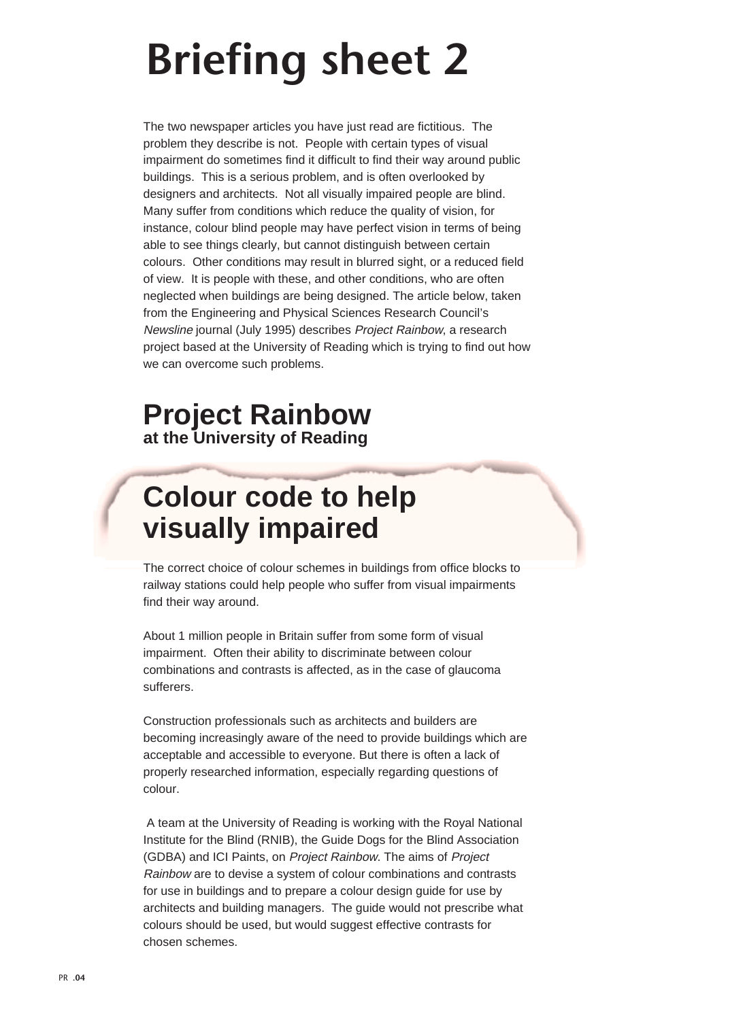# **Briefing sheet 2**

The two newspaper articles you have just read are fictitious. The problem they describe is not. People with certain types of visual impairment do sometimes find it difficult to find their way around public buildings. This is a serious problem, and is often overlooked by designers and architects. Not all visually impaired people are blind. Many suffer from conditions which reduce the quality of vision, for instance, colour blind people may have perfect vision in terms of being able to see things clearly, but cannot distinguish between certain colours. Other conditions may result in blurred sight, or a reduced field of view. It is people with these, and other conditions, who are often neglected when buildings are being designed. The article below, taken from the Engineering and Physical Sciences Research Council's Newsline journal (July 1995) describes Project Rainbow, a research project based at the University of Reading which is trying to find out how we can overcome such problems.

## **Project Rainbow at the University of Reading**

## **Colour code to help visually impaired**

The correct choice of colour schemes in buildings from office blocks to railway stations could help people who suffer from visual impairments find their way around.

About 1 million people in Britain suffer from some form of visual impairment. Often their ability to discriminate between colour combinations and contrasts is affected, as in the case of glaucoma sufferers.

Construction professionals such as architects and builders are becoming increasingly aware of the need to provide buildings which are acceptable and accessible to everyone. But there is often a lack of properly researched information, especially regarding questions of colour.

A team at the University of Reading is working with the Royal National Institute for the Blind (RNIB), the Guide Dogs for the Blind Association (GDBA) and ICI Paints, on Project Rainbow. The aims of Project Rainbow are to devise a system of colour combinations and contrasts for use in buildings and to prepare a colour design guide for use by architects and building managers. The guide would not prescribe what colours should be used, but would suggest effective contrasts for chosen schemes.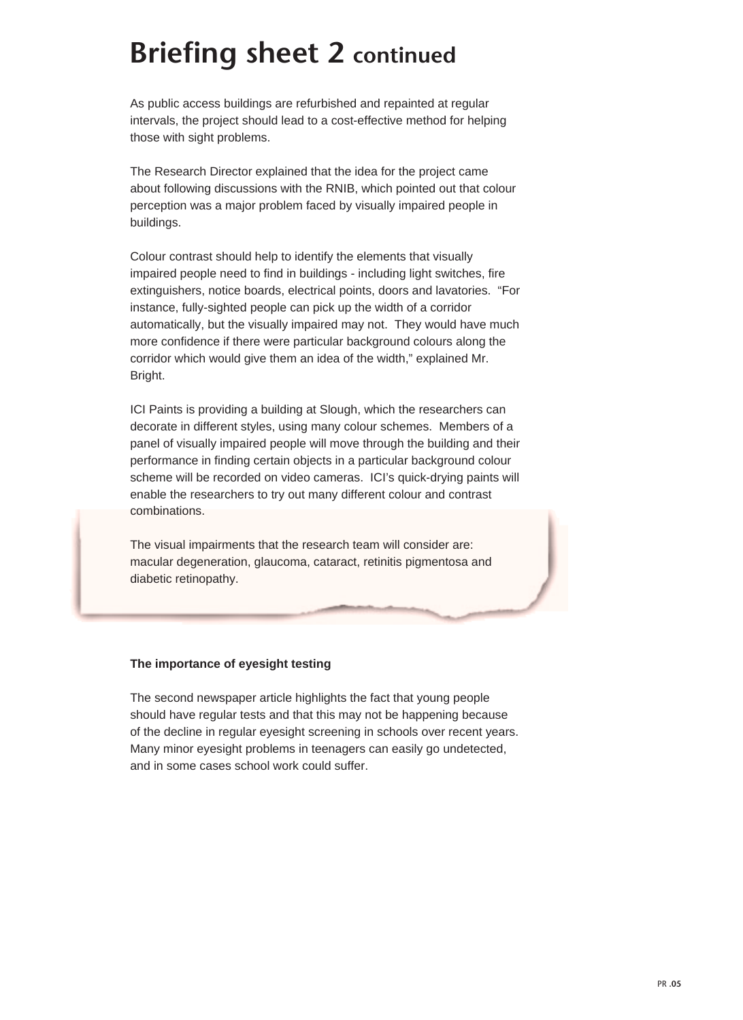## **Briefing sheet 2 continued**

As public access buildings are refurbished and repainted at regular intervals, the project should lead to a cost-effective method for helping those with sight problems.

The Research Director explained that the idea for the project came about following discussions with the RNIB, which pointed out that colour perception was a major problem faced by visually impaired people in buildings.

Colour contrast should help to identify the elements that visually impaired people need to find in buildings - including light switches, fire extinguishers, notice boards, electrical points, doors and lavatories. "For instance, fully-sighted people can pick up the width of a corridor automatically, but the visually impaired may not. They would have much more confidence if there were particular background colours along the corridor which would give them an idea of the width," explained Mr. Bright.

ICI Paints is providing a building at Slough, which the researchers can decorate in different styles, using many colour schemes. Members of a panel of visually impaired people will move through the building and their performance in finding certain objects in a particular background colour scheme will be recorded on video cameras. ICI's quick-drying paints will enable the researchers to try out many different colour and contrast combinations.

The visual impairments that the research team will consider are: macular degeneration, glaucoma, cataract, retinitis pigmentosa and diabetic retinopathy.

#### **The importance of eyesight testing**

The second newspaper article highlights the fact that young people should have regular tests and that this may not be happening because of the decline in regular eyesight screening in schools over recent years. Many minor eyesight problems in teenagers can easily go undetected, and in some cases school work could suffer.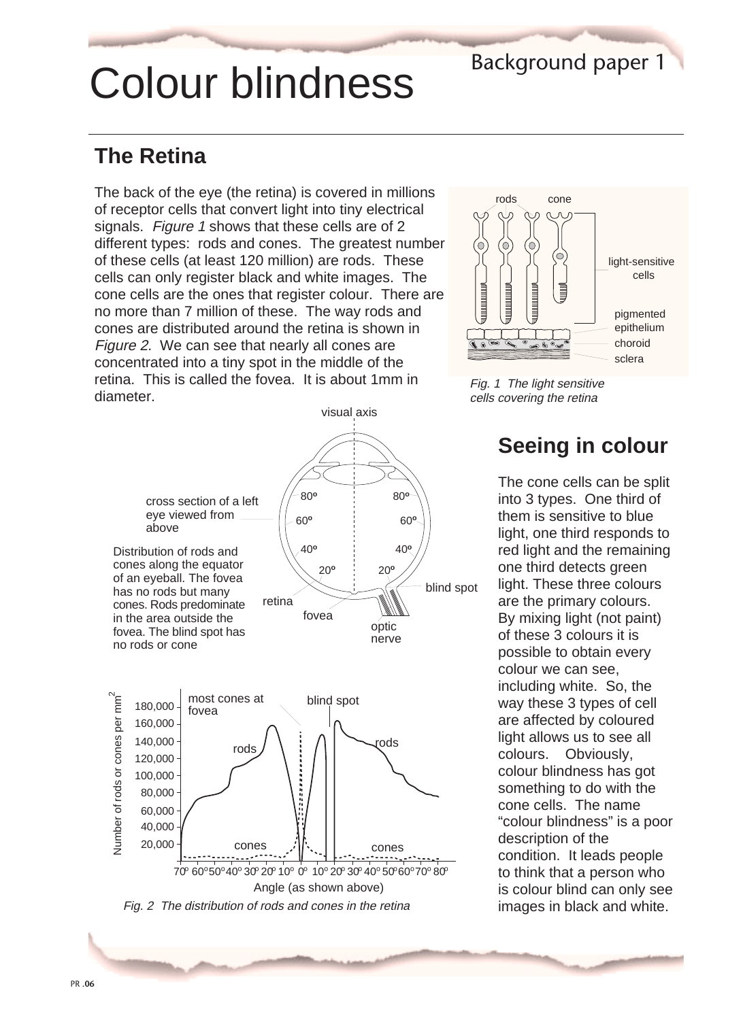# Colour blindness

## Background paper 1

## **The Retina**

The back of the eye (the retina) is covered in millions of receptor cells that convert light into tiny electrical signals. Figure 1 shows that these cells are of 2 different types: rods and cones. The greatest number of these cells (at least 120 million) are rods. These cells can only register black and white images. The cone cells are the ones that register colour. There are no more than 7 million of these. The way rods and cones are distributed around the retina is shown in Figure 2. We can see that nearly all cones are concentrated into a tiny spot in the middle of the retina. This is called the fovea. It is about 1mm in diameter.







Fig. 1 The light sensitive cells covering the retina

## **Seeing in colour**

The cone cells can be split into 3 types. One third of them is sensitive to blue light, one third responds to red light and the remaining one third detects green light. These three colours are the primary colours. By mixing light (not paint) of these 3 colours it is possible to obtain every colour we can see, including white. So, the way these 3 types of cell are affected by coloured light allows us to see all colours. Obviously, colour blindness has got something to do with the cone cells. The name "colour blindness" is a poor description of the condition. It leads people to think that a person who is colour blind can only see images in black and white.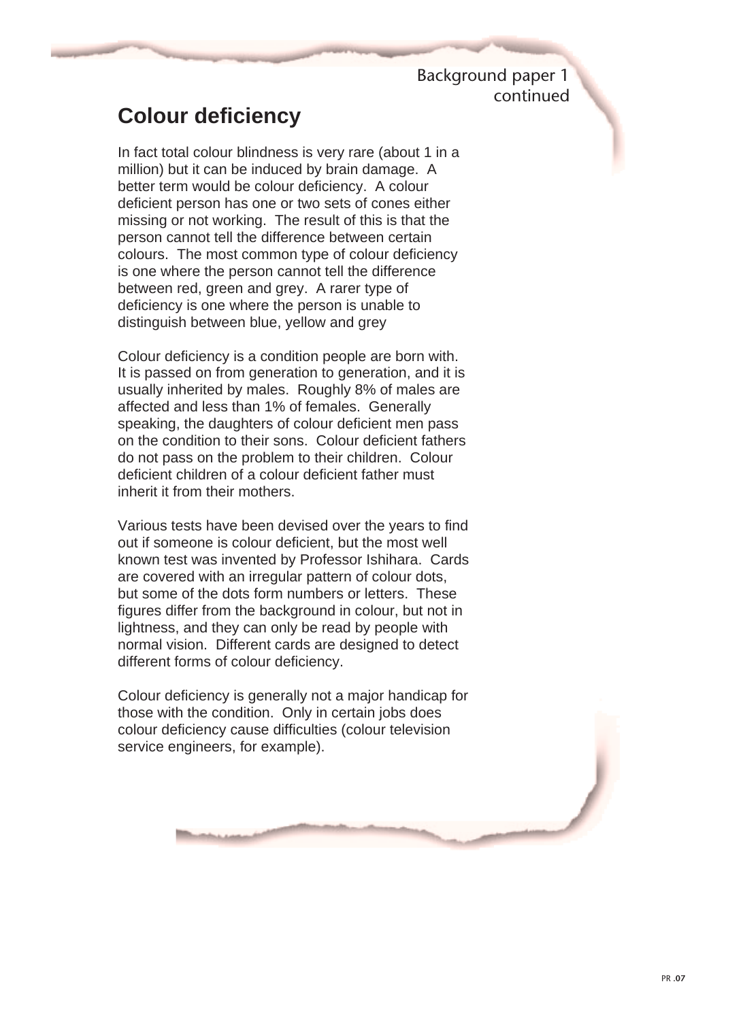Background paper 1 continued

### **Colour deficiency**

In fact total colour blindness is very rare (about 1 in a million) but it can be induced by brain damage. A better term would be colour deficiency. A colour deficient person has one or two sets of cones either missing or not working. The result of this is that the person cannot tell the difference between certain colours. The most common type of colour deficiency is one where the person cannot tell the difference between red, green and grey. A rarer type of deficiency is one where the person is unable to distinguish between blue, yellow and grey

Colour deficiency is a condition people are born with. It is passed on from generation to generation, and it is usually inherited by males. Roughly 8% of males are affected and less than 1% of females. Generally speaking, the daughters of colour deficient men pass on the condition to their sons. Colour deficient fathers do not pass on the problem to their children. Colour deficient children of a colour deficient father must inherit it from their mothers.

Various tests have been devised over the years to find out if someone is colour deficient, but the most well known test was invented by Professor Ishihara. Cards are covered with an irregular pattern of colour dots, but some of the dots form numbers or letters. These figures differ from the background in colour, but not in lightness, and they can only be read by people with normal vision. Different cards are designed to detect different forms of colour deficiency.

Colour deficiency is generally not a major handicap for those with the condition. Only in certain jobs does colour deficiency cause difficulties (colour television service engineers, for example).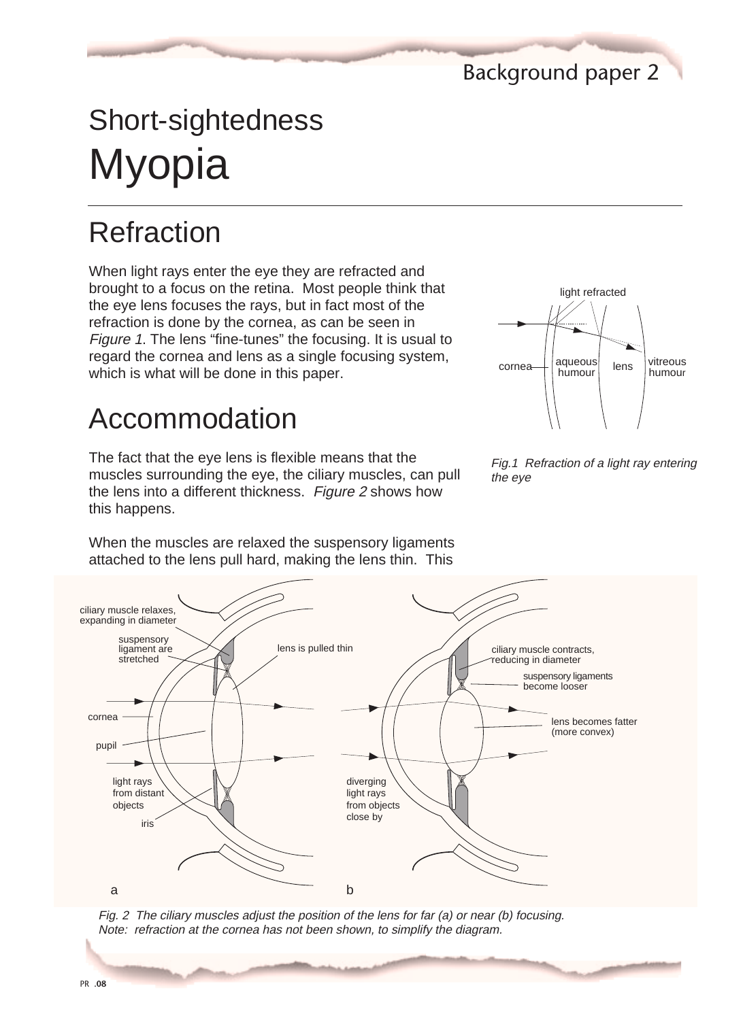Background paper 2

## Short-sightedness Myopia

## Refraction

When light rays enter the eye they are refracted and brought to a focus on the retina. Most people think that the eye lens focuses the rays, but in fact most of the refraction is done by the cornea, as can be seen in Figure 1. The lens "fine-tunes" the focusing. It is usual to regard the cornea and lens as a single focusing system, which is what will be done in this paper.

## Accommodation

The fact that the eye lens is flexible means that the muscles surrounding the eye, the ciliary muscles, can pull the lens into a different thickness. Figure 2 shows how this happens.

When the muscles are relaxed the suspensory ligaments attached to the lens pull hard, making the lens thin. This







Fig. 2 The ciliary muscles adjust the position of the lens for far (a) or near (b) focusing. Note: refraction at the cornea has not been shown, to simplify the diagram.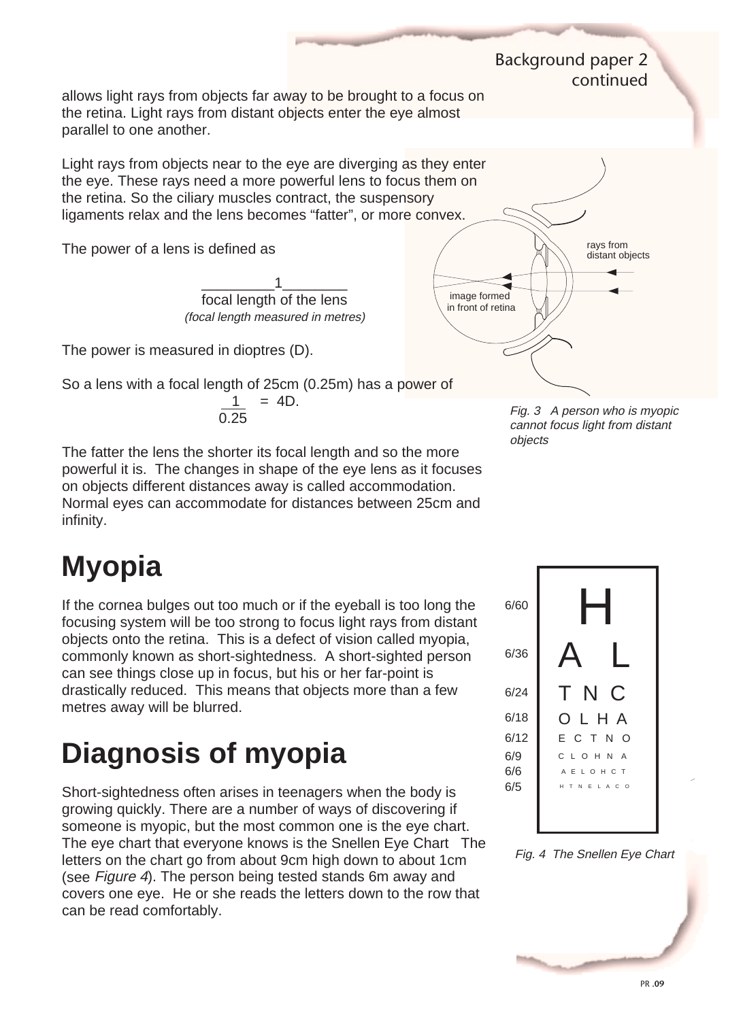allows light rays from objects far away to be brought to a focus on the retina. Light rays from distant objects enter the eye almost parallel to one another.

Light rays from objects near to the eye are diverging as they enter the eye. These rays need a more powerful lens to focus them on the retina. So the ciliary muscles contract, the suspensory ligaments relax and the lens becomes "fatter", or more convex.

The power of a lens is defined as

\_\_\_\_\_\_\_\_\_1\_\_\_\_\_\_\_\_ focal length of the lens (focal length measured in metres)

The power is measured in dioptres (D).

So a lens with a focal length of 25cm (0.25m) has a power of

 $\frac{1}{2}$  = 4D. 0.25

The fatter the lens the shorter its focal length and so the more powerful it is. The changes in shape of the eye lens as it focuses on objects different distances away is called accommodation. Normal eyes can accommodate for distances between 25cm and infinity.

## **Myopia**

If the cornea bulges out too much or if the eyeball is too long the focusing system will be too strong to focus light rays from distant objects onto the retina. This is a defect of vision called myopia, commonly known as short-sightedness. A short-sighted person can see things close up in focus, but his or her far-point is drastically reduced. This means that objects more than a few metres away will be blurred.

## **Diagnosis of myopia**

Short-sightedness often arises in teenagers when the body is growing quickly. There are a number of ways of discovering if someone is myopic, but the most common one is the eye chart. The eye chart that everyone knows is the Snellen Eye Chart The letters on the chart go from about 9cm high down to about 1cm (see Figure 4). The person being tested stands 6m away and covers one eye. He or she reads the letters down to the row that can be read comfortably.



Background paper 2

continued

Fig. 3 A person who is myopic cannot focus light from distant objects



Fig. 4 The Snellen Eye Chart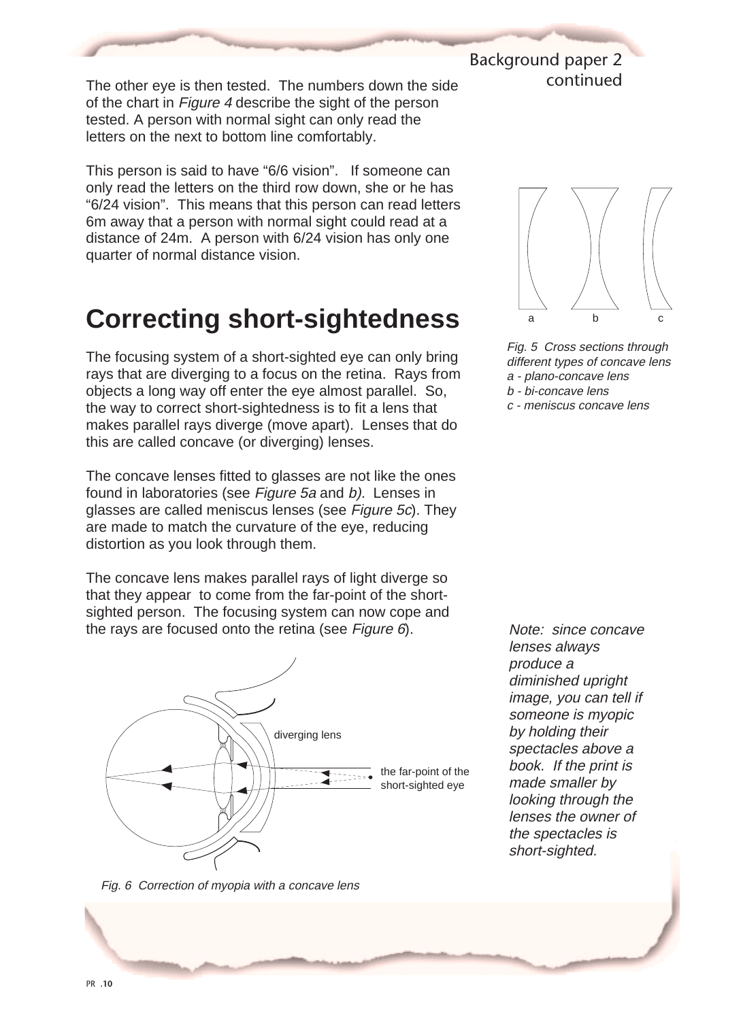The other eye is then tested. The numbers down the side of the chart in Figure 4 describe the sight of the person tested. A person with normal sight can only read the letters on the next to bottom line comfortably.

This person is said to have "6/6 vision". If someone can only read the letters on the third row down, she or he has "6/24 vision". This means that this person can read letters 6m away that a person with normal sight could read at a distance of 24m. A person with 6/24 vision has only one quarter of normal distance vision.

## **Correcting short-sightedness**

The focusing system of a short-sighted eye can only bring rays that are diverging to a focus on the retina. Rays from objects a long way off enter the eye almost parallel. So, the way to correct short-sightedness is to fit a lens that makes parallel rays diverge (move apart). Lenses that do this are called concave (or diverging) lenses.

The concave lenses fitted to glasses are not like the ones found in laboratories (see Figure 5a and b). Lenses in glasses are called meniscus lenses (see Figure 5c). They are made to match the curvature of the eye, reducing distortion as you look through them.

The concave lens makes parallel rays of light diverge so that they appear to come from the far-point of the shortsighted person. The focusing system can now cope and the rays are focused onto the retina (see Figure 6).





Background paper 2

continued

Fig. 5 Cross sections through different types of concave lens a - plano-concave lens b - bi-concave lens

c - meniscus concave lens

Fig. 6 Correction of myopia with a concave lens

produce a diminished upright image, you can tell if someone is myopic by holding their spectacles above a book. If the print is made smaller by looking through the lenses the owner of the spectacles is short-sighted.

Note: since concave

lenses always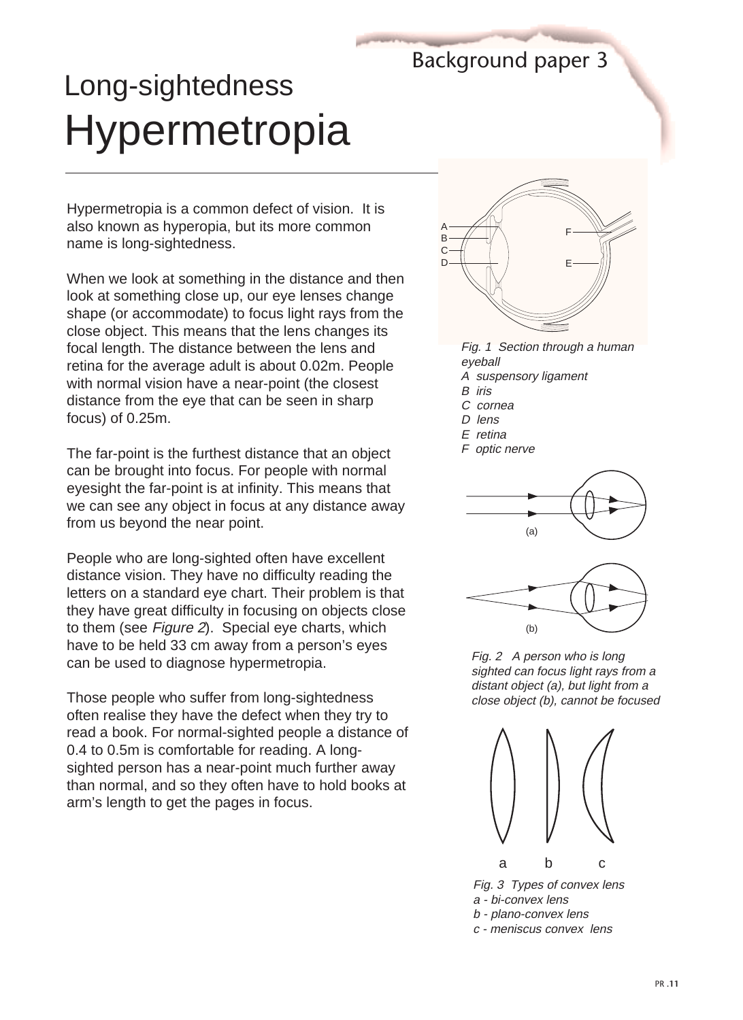## Background paper 3

## Long-sightedness Hypermetropia

Hypermetropia is a common defect of vision. It is also known as hyperopia, but its more common name is long-sightedness.

When we look at something in the distance and then look at something close up, our eye lenses change shape (or accommodate) to focus light rays from the close object. This means that the lens changes its focal length. The distance between the lens and retina for the average adult is about 0.02m. People with normal vision have a near-point (the closest distance from the eye that can be seen in sharp focus) of 0.25m.

The far-point is the furthest distance that an object can be brought into focus. For people with normal eyesight the far-point is at infinity. This means that we can see any object in focus at any distance away from us beyond the near point.

People who are long-sighted often have excellent distance vision. They have no difficulty reading the letters on a standard eye chart. Their problem is that they have great difficulty in focusing on objects close to them (see Figure 2). Special eye charts, which have to be held 33 cm away from a person's eyes can be used to diagnose hypermetropia.

Those people who suffer from long-sightedness often realise they have the defect when they try to read a book. For normal-sighted people a distance of 0.4 to 0.5m is comfortable for reading. A longsighted person has a near-point much further away than normal, and so they often have to hold books at arm's length to get the pages in focus.



Fig. 1 Section through a human eyeball

- A suspensory ligament
- B iris
- C cornea
- D lens
- E retina

F optic nerve





Fig. 2 A person who is long sighted can focus light rays from a distant object (a), but light from a close object (b), cannot be focused



Fig. 3 Types of convex lens a - bi-convex lens b - plano-convex lens c - meniscus convex lens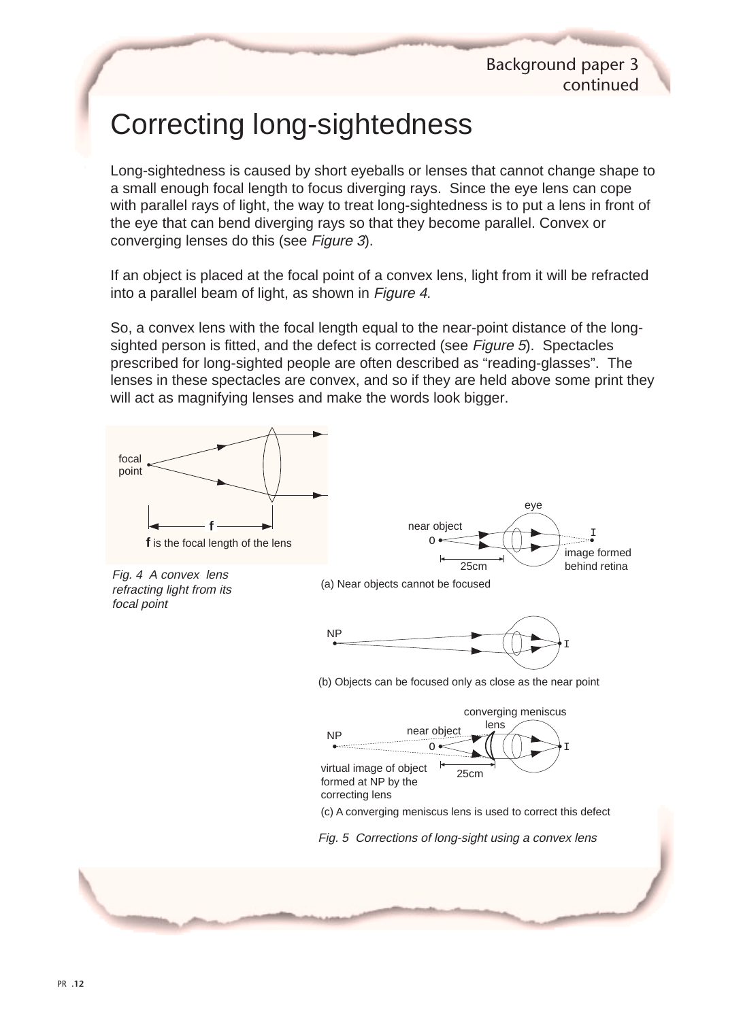## Correcting long-sightedness

Long-sightedness is caused by short eyeballs or lenses that cannot change shape to a small enough focal length to focus diverging rays. Since the eye lens can cope with parallel rays of light, the way to treat long-sightedness is to put a lens in front of the eye that can bend diverging rays so that they become parallel. Convex or converging lenses do this (see Figure 3).

If an object is placed at the focal point of a convex lens, light from it will be refracted into a parallel beam of light, as shown in Figure 4.

So, a convex lens with the focal length equal to the near-point distance of the longsighted person is fitted, and the defect is corrected (see Figure 5). Spectacles prescribed for long-sighted people are often described as "reading-glasses". The lenses in these spectacles are convex, and so if they are held above some print they will act as magnifying lenses and make the words look bigger.

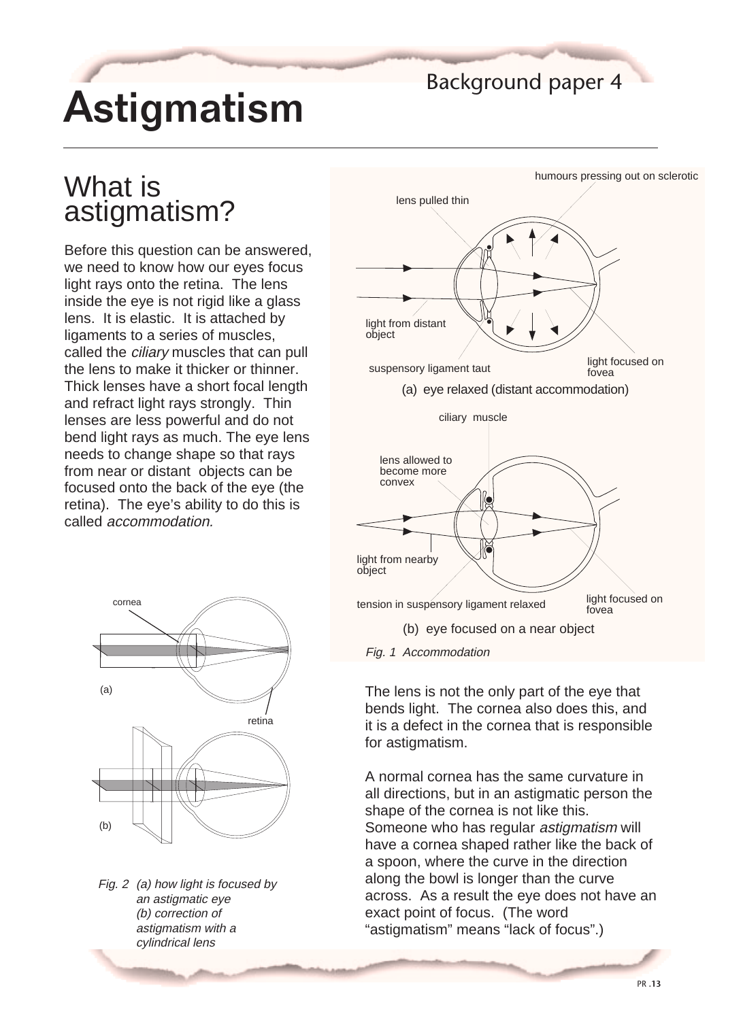# Astigmatism

### Background paper 4

## What is astigmatism?

Before this question can be answered, we need to know how our eyes focus light rays onto the retina. The lens inside the eye is not rigid like a glass lens. It is elastic. It is attached by ligaments to a series of muscles, called the *ciliary* muscles that can pull the lens to make it thicker or thinner. Thick lenses have a short focal length and refract light rays strongly. Thin lenses are less powerful and do not bend light rays as much. The eye lens needs to change shape so that rays from near or distant objects can be focused onto the back of the eye (the retina). The eye's ability to do this is called accommodation.



Fig. 1 Accommodation

The lens is not the only part of the eye that bends light. The cornea also does this, and it is a defect in the cornea that is responsible for astigmatism.

A normal cornea has the same curvature in all directions, but in an astigmatic person the shape of the cornea is not like this. Someone who has regular astigmatism will have a cornea shaped rather like the back of a spoon, where the curve in the direction along the bowl is longer than the curve across. As a result the eye does not have an exact point of focus. (The word "astigmatism" means "lack of focus".)



Fig. 2 (a) how light is focused by an astigmatic eye (b) correction of astigmatism with a cylindrical lens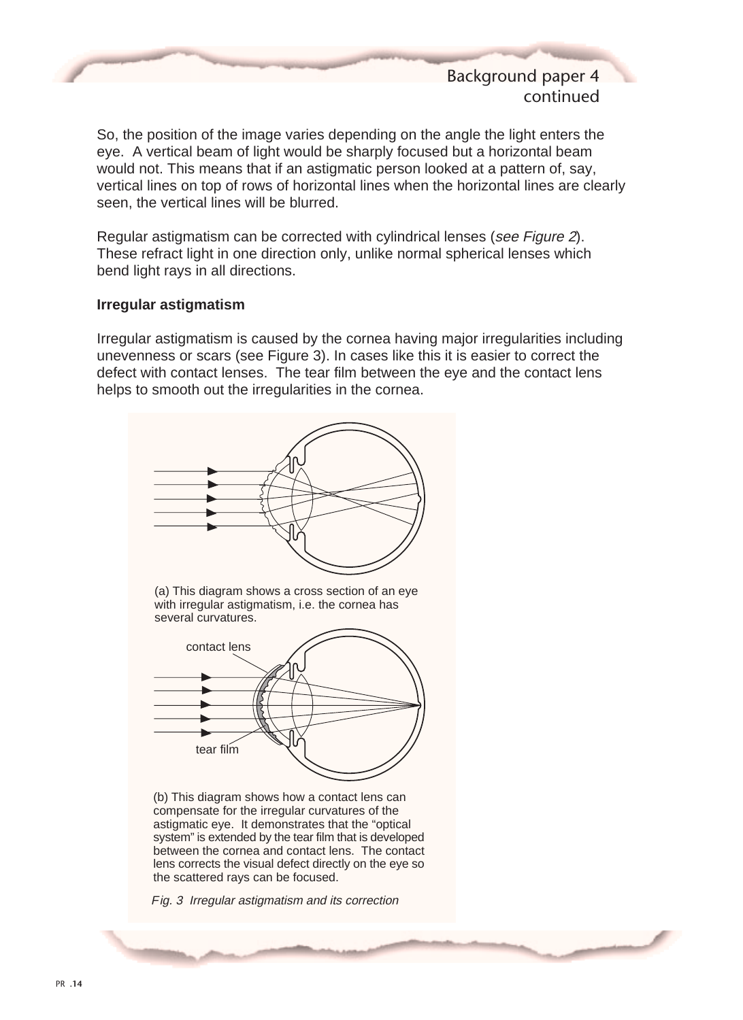### Background paper 4 continued

So, the position of the image varies depending on the angle the light enters the eye. A vertical beam of light would be sharply focused but a horizontal beam would not. This means that if an astigmatic person looked at a pattern of, say, vertical lines on top of rows of horizontal lines when the horizontal lines are clearly seen, the vertical lines will be blurred.

Regular astigmatism can be corrected with cylindrical lenses (see Figure 2). These refract light in one direction only, unlike normal spherical lenses which bend light rays in all directions.

#### **Irregular astigmatism**

Irregular astigmatism is caused by the cornea having major irregularities including unevenness or scars (see Figure 3). In cases like this it is easier to correct the defect with contact lenses. The tear film between the eye and the contact lens helps to smooth out the irregularities in the cornea.



(a) This diagram shows a cross section of an eye with irregular astigmatism, i.e. the cornea has several curvatures.



(b) This diagram shows how a contact lens can compensate for the irregular curvatures of the astigmatic eye. It demonstrates that the "optical system" is extended by the tear film that is developed between the cornea and contact lens. The contact lens corrects the visual defect directly on the eye so the scattered rays can be focused.

Fig. 3 Irregular astigmatism and its correction